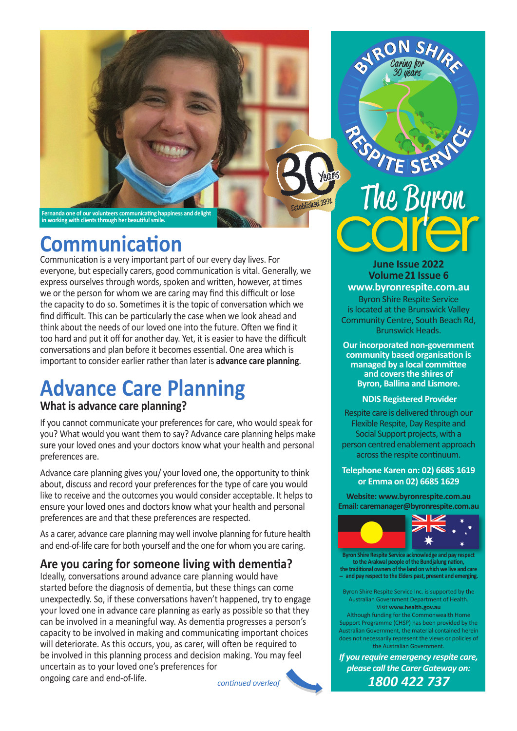

# **Communication**

Communication is a very important part of our every day lives. For everyone, but especially carers, good communication is vital. Generally, we express ourselves through words, spoken and written, however, at times we or the person for whom we are caring may find this difficult or lose the capacity to do so. Sometimes it is the topic of conversation which we find difficult. This can be particularly the case when we look ahead and think about the needs of our loved one into the future. Often we find it too hard and put it off for another day. Yet, it is easier to have the difficult conversations and plan before it becomes essential. One area which is important to consider earlier rather than later is **advance care planning**.

# **Advance Care Planning**

### **What is advance care planning?**

If you cannot communicate your preferences for care, who would speak for you? What would you want them to say? Advance care planning helps make sure your loved ones and your doctors know what your health and personal preferences are.

Advance care planning gives you/ your loved one, the opportunity to think about, discuss and record your preferences for the type of care you would like to receive and the outcomes you would consider acceptable. It helps to ensure your loved ones and doctors know what your health and personal preferences are and that these preferences are respected.

As a carer, advance care planning may well involve planning for future health and end-of-life care for both yourself and the one for whom you are caring.

### **Are you caring for someone living with dementia?**

Ideally, conversations around advance care planning would have started before the diagnosis of dementia, but these things can come unexpectedly. So, if these conversations haven't happened, try to engage your loved one in advance care planning as early as possible so that they can be involved in a meaningful way. As dementia progresses a person's capacity to be involved in making and communicating important choices will deteriorate. As this occurs, you, as carer, will often be required to be involved in this planning process and decision making. You may feel uncertain as to your loved one's preferences for ongoing care and end-of-life.

*continued overleaf*



ON SHIR

**June Issue 2022 Volume 21 Issue 6 www.byronrespite.com.au**

Byron Shire Respite Service is located at the Brunswick Valley Community Centre, South Beach Rd, Brunswick Heads.

**Our incorporated non-government community based organisation is managed by a local committee and covers the shires of Byron, Ballina and Lismore.**

#### **NDIS Registered Provider**

Respite care is delivered through our Flexible Respite, Day Respite and Social Support projects, with a person centred enablement approach across the respite continuum.

#### **Telephone Karen on: 02) 6685 1619 or Emma on 02) 6685 1629**

**Website: www.byronrespite.com.au Email: caremanager@byronrespite.com.au**



**Byron Shire Respite Service acknowledge and pay respect to the Arakwal people of the Bundjalung nation, the traditional owners of the land on which we live and care - and pay respect to the Elders past, present and emerging.**

Byron Shire Respite Service Inc. is supported by the Australian Government Department of Health. Visit **www.health.gov.au**

Although funding for the Commonwealth Home Support Programme (CHSP) has been provided by the Australian Government, the material contained herein does not necessarily represent the views or policies of the Australian Government.

*If you require emergency respite care, please call the Carer Gateway on: 1800 422 737*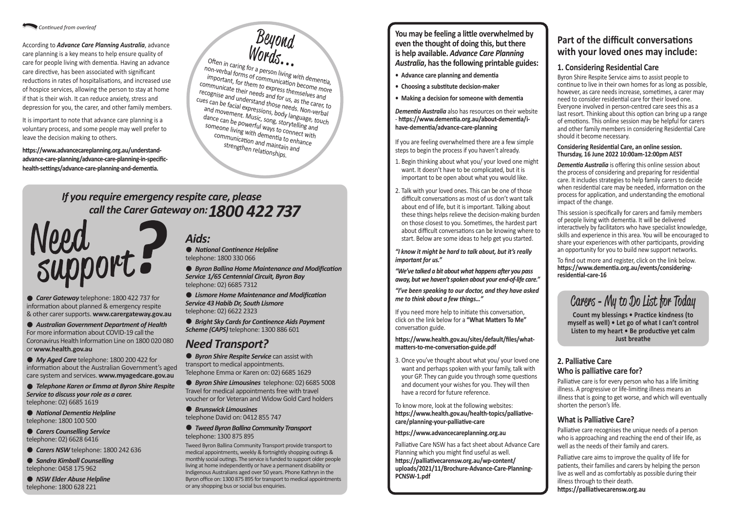● *Carer Gateway* telephone: 1800 422 737 for information about planned & emergency respite & other carer supports. **www.carergateway.gov.au**

l *Australian Government Department of Health* For more information about COVID-19 call the Coronavirus Health Information Line on 1800 020 080 or **www.health.gov.au** 

● *My Aged Care* telephone: 1800 200 422 for information about the Australian Government's aged care system and services. **www.myagedcare.gov.au**

- **e** *Carers Counselling Service* telephone: 02) 6628 6416
- l *Carers NSW* telephone: 1800 242 636
- l *Sandra Kimball Counselling*  telephone: 0458 175 962

● *NSW Elder Abuse Helpline* telephone: 1800 628 221

l *Telephone Karen or Emma at Byron Shire Respite Service to discuss your role as a carer.*  telephone: 02) 6685 1619

l *National Dementia Helpline* telephone: 1800 100 500

**e** *Byron Shire Respite Service* can assist with transport to medical appointments. Telephone Emma or Karen on: 02) 6685 1629

 $\bullet$  *Brunswick Limousines* telephone David on: 0412 855 747

# *Aids:*

l *National Continence Helpline*  telephone: 1800 330 066

l *Byron Ballina Home Maintenance and Modification Service 1/65 Centennial Circuit, Byron Bay*  telephone: 02) 6685 7312

l *Lismore Home Maintenance and Modification Service 43 Habib Dr, South Lismore*  telephone: 02) 6622 2323

l *Bright Sky Cards for Continence Aids Payment Scheme (CAPS)* telephone: 1300 886 601

# *Need Transport?*

l *Byron Shire Limousines* telephone: 02) 6685 5008 Travel for medical appointments free with travel voucher or for Veteran and Widow Gold Card holders

#### l *Tweed Byron Ballina Community Transport*  telephone: 1300 875 895

Tweed Byron Ballina Community Transport provide transport to medical appointments, weekly & fortnightly shopping outings & monthly social outings. The service is funded to support older people living at home independently or have a permanent disability or Indigenous Australians aged over 50 years. Phone Kathryn in the Byron office on: 1300 875 895 for transport to medical appointments or any shopping bus or social bus enquiries.

# *If you require emergency respite care, please call the Carer Gateway on: 1800 422 737*



#### *Continued from overleaf*

According to *Advance Care Planning Australia*, advance care planning is a key means to help ensure quality of care for people living with dementia. Having an advance care directive, has been associated with significant reductions in rates of hospitalisations, and increased use of hospice services, allowing the person to stay at home if that is their wish. It can reduce anxiety, stress and depression for you, the carer, and other family members.

It is important to note that advance care planning is a voluntary process, and some people may well prefer to leave the decision making to others.

**https://www.advancecareplanning.org.au/understandadvance-care-planning/advance-care-planning-in-specifichealth-settings/advance-care-planning-and-dementia.**

## **Part of the difficult conversations with your loved ones may include:**

## **1. Considering Residential Care**

Byron Shire Respite Service aims to assist people to continue to live in their own homes for as long as possible, however, as care needs increase, sometimes, a carer may need to consider residential care for their loved one. Everyone involved in person-centred care sees this as a last resort. Thinking about this option can bring up a range of emotions. This online session may be helpful for carers and other family members in considering Residential Care should it become necessary.

#### **Considering Residential Care, an online session. Thursday, 16 June 2022 10:00am-12:00pm AEST**

*Dementia Australia* is offering this online session about the process of considering and preparing for residential care. It includes strategies to help family carers to decide when residential care may be needed, information on the process for application, and understanding the emotional impact of the change.

Beyond<br>Words Often in caring for a person living with dementia,<br>on-verbal forms of communication hore-<br>important, for them to minimication hore-**...** non-verbal forms of communication become more important, for them to express themselves and communicate their needs and for us, as the carer, to recognise and understand those needs. Non-verbal Cues can be facial expressions, body language, touch and movement. Music, song, storytelling and dance can be powerful ways to connect with someone living with dementia to enhance communication and maintain and strengthen relationships.

> This session is specifically for carers and family members of people living with dementia. It will be delivered interactively by facilitators who have specialist knowledge, skills and experience in this area. You will be encouraged to share your experiences with other participants, providing an opportunity for you to build new support networks.

To find out more and register, click on the link below. **https://www.dementia.org.au/events/consideringresidential-care-16**

### **2. Palliative Care Who is palliative care for?**

Palliative care is for every person who has a life limiting illness. A progressive or life-limiting illness means an illness that is going to get worse, and which will eventually shorten the person's life.

### **What is Palliative Care?**

Palliative care recognises the unique needs of a person who is approaching and reaching the end of their life, as well as the needs of their family and carers.

Palliative care aims to improve the quality of life for patients, their families and carers by helping the person live as well and as comfortably as possible during their illness through to their death.

**https://palliativecarensw.org.au**

**You may be feeling a little overwhelmed by even the thought of doing this, but there is help available.** *Advance Care Planning Australia***, has the following printable guides:**

- **Advance care planning and dementia**
- **Choosing a substitute decision-maker**
- **Making a decision for someone with dementia**

*Dementia Australia* also has resources on their website - **https://www.dementia.org.au/about-dementia/ihave-dementia/advance-care-planning** 

If you are feeling overwhelmed there are a few simple steps to begin the process if you haven't already.

- 1. Begin thinking about what you/ your loved one might want. It doesn't have to be complicated, but it is important to be open about what you would like.
- 2. Talk with your loved ones. This can be one of those difficult conversations as most of us don't want talk about end of life, but it is important. Talking about these things helps relieve the decision-making burden on those closest to you. Sometimes, the hardest part about difficult conversations can be knowing where to start. Below are some ideas to help get you started.

*"I know it might be hard to talk about, but it's really important for us."*

*"We've talked a bit about what happens after you pass away, but we haven't spoken about your end-of-life care."*

*"I've been speaking to our doctor, and they have asked me to think about a few things…"*

If you need more help to initiate this conversation, click on the link below for a **"What Matters To Me"** conversation guide.

#### **https://www.health.gov.au/sites/default/files/whatmatters-to-me-conversation-guide.pdf**

3. Once you've thought about what you/ your loved one want and perhaps spoken with your family, talk with your GP. They can guide you through some questions and document your wishes for you. They will then have a record for future reference.

To know more, look at the following websites: **https://www.health.gov.au/health-topics/palliativecare/planning-your-palliative-care** 

#### **https://www.advancecareplanning.org.au**

Palliative Care NSW has a fact sheet about Advance Care Planning which you might find useful as well. **https://palliativecarensw.org.au/wp-content/ [uploads/2021/11/Brochure-Advance-Care-Planning-](https://palliativecarensw.org.au/wp-content/uploads/2021/11/Brochure-Advance-Care-Planning-PCNSW-1.pdf)PCNSW-1.pdf**

# Carers **-** My to Do List for Today

**Count my blessings • Practice kindness (to myself as well) • Let go of what I can't control Listen to my heart • Be productive yet calm Just breathe**